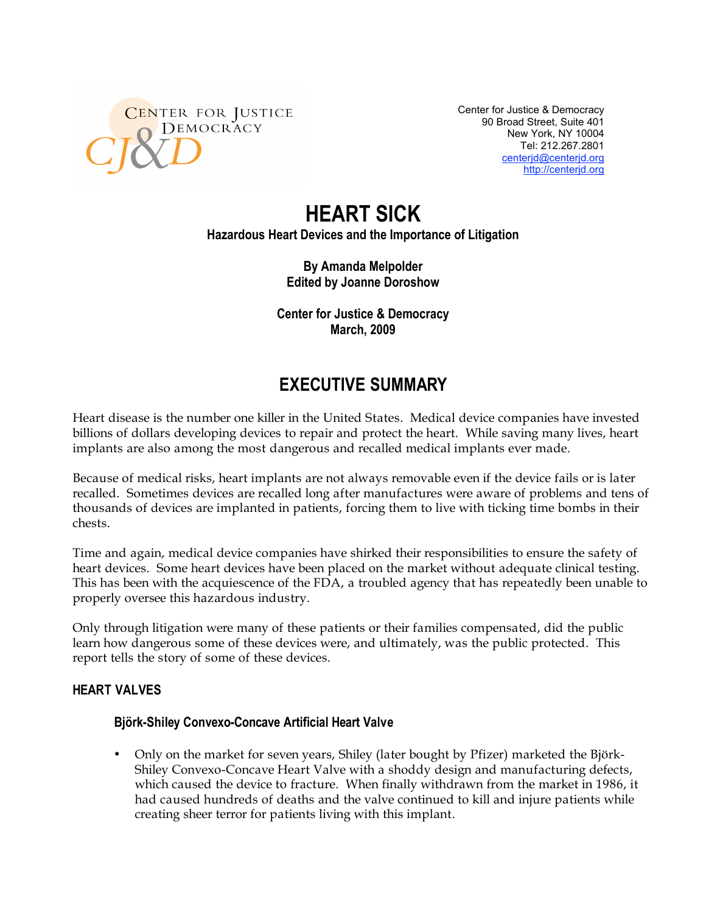

Center for Justice & Democracy 90 Broad Street, Suite 401 New York, NY 10004 Tel: 212.267.2801 centerjd@centerjd.org http://centerjd.org

# **HEART SICK**

**Hazardous Heart Devices and the Importance of Litigation**

**By Amanda Melpolder Edited by Joanne Doroshow**

**Center for Justice & Democracy March, 2009**

# **EXECUTIVE SUMMARY**

Heart disease is the number one killer in the United States. Medical device companies have invested billions of dollars developing devices to repair and protect the heart. While saving many lives, heart implants are also among the most dangerous and recalled medical implants ever made.

Because of medical risks, heart implants are not always removable even if the device fails or is later recalled. Sometimes devices are recalled long after manufactures were aware of problems and tens of thousands of devices are implanted in patients, forcing them to live with ticking time bombs in their chests.

Time and again, medical device companies have shirked their responsibilities to ensure the safety of heart devices. Some heart devices have been placed on the market without adequate clinical testing. This has been with the acquiescence of the FDA, a troubled agency that has repeatedly been unable to properly oversee this hazardous industry.

Only through litigation were many of these patients or their families compensated, did the public learn how dangerous some of these devices were, and ultimately, was the public protected. This report tells the story of some of these devices.

# **HEART VALVES**

#### **Björk-Shiley Convexo-Concave Artificial Heart Valve**

• Only on the market for seven years, Shiley (later bought by Pfizer) marketed the Björk-Shiley Convexo-Concave Heart Valve with a shoddy design and manufacturing defects, which caused the device to fracture. When finally withdrawn from the market in 1986, it had caused hundreds of deaths and the valve continued to kill and injure patients while creating sheer terror for patients living with this implant.